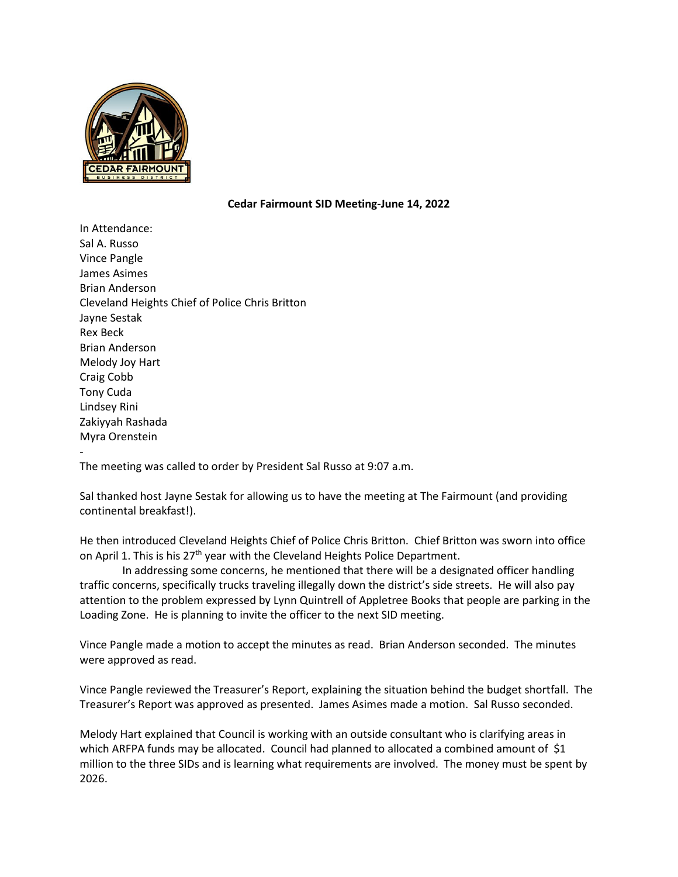

## **Cedar Fairmount SID Meeting-June 14, 2022**

In Attendance: Sal A. Russo Vince Pangle James Asimes Brian Anderson Cleveland Heights Chief of Police Chris Britton Jayne Sestak Rex Beck Brian Anderson Melody Joy Hart Craig Cobb Tony Cuda Lindsey Rini Zakiyyah Rashada Myra Orenstein -

The meeting was called to order by President Sal Russo at 9:07 a.m.

Sal thanked host Jayne Sestak for allowing us to have the meeting at The Fairmount (and providing continental breakfast!).

He then introduced Cleveland Heights Chief of Police Chris Britton. Chief Britton was sworn into office on April 1. This is his 27<sup>th</sup> year with the Cleveland Heights Police Department.

In addressing some concerns, he mentioned that there will be a designated officer handling traffic concerns, specifically trucks traveling illegally down the district's side streets. He will also pay attention to the problem expressed by Lynn Quintrell of Appletree Books that people are parking in the Loading Zone. He is planning to invite the officer to the next SID meeting.

Vince Pangle made a motion to accept the minutes as read. Brian Anderson seconded. The minutes were approved as read.

Vince Pangle reviewed the Treasurer's Report, explaining the situation behind the budget shortfall. The Treasurer's Report was approved as presented. James Asimes made a motion. Sal Russo seconded.

Melody Hart explained that Council is working with an outside consultant who is clarifying areas in which ARFPA funds may be allocated. Council had planned to allocated a combined amount of \$1 million to the three SIDs and is learning what requirements are involved. The money must be spent by 2026.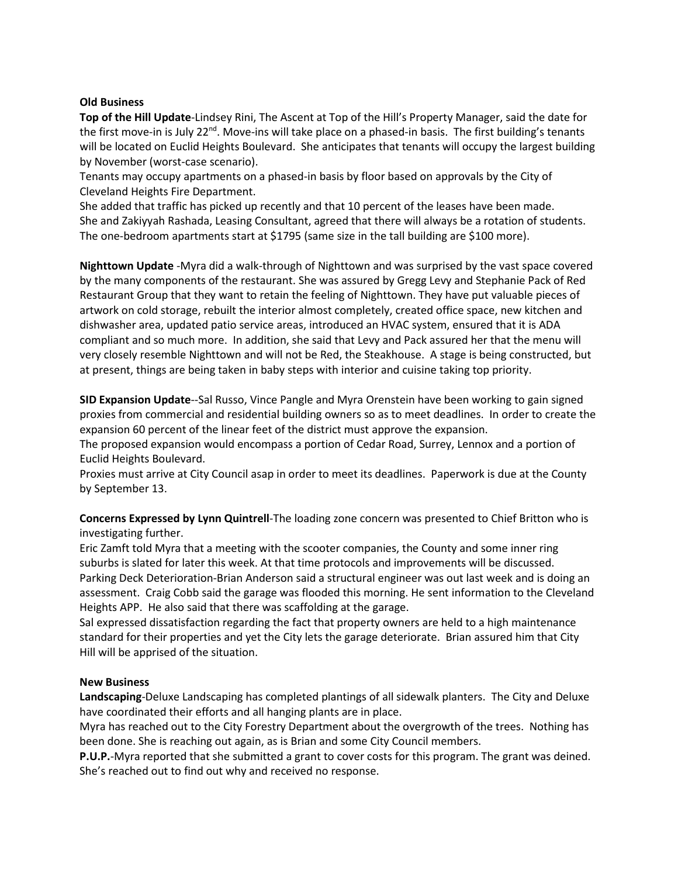## **Old Business**

**Top of the Hill Update**-Lindsey Rini, The Ascent at Top of the Hill's Property Manager, said the date for the first move-in is July 22<sup>nd</sup>. Move-ins will take place on a phased-in basis. The first building's tenants will be located on Euclid Heights Boulevard. She anticipates that tenants will occupy the largest building by November (worst-case scenario).

Tenants may occupy apartments on a phased-in basis by floor based on approvals by the City of Cleveland Heights Fire Department.

She added that traffic has picked up recently and that 10 percent of the leases have been made. She and Zakiyyah Rashada, Leasing Consultant, agreed that there will always be a rotation of students. The one-bedroom apartments start at \$1795 (same size in the tall building are \$100 more).

**Nighttown Update** -Myra did a walk-through of Nighttown and was surprised by the vast space covered by the many components of the restaurant. She was assured by Gregg Levy and Stephanie Pack of Red Restaurant Group that they want to retain the feeling of Nighttown. They have put valuable pieces of artwork on cold storage, rebuilt the interior almost completely, created office space, new kitchen and dishwasher area, updated patio service areas, introduced an HVAC system, ensured that it is ADA compliant and so much more. In addition, she said that Levy and Pack assured her that the menu will very closely resemble Nighttown and will not be Red, the Steakhouse. A stage is being constructed, but at present, things are being taken in baby steps with interior and cuisine taking top priority.

**SID Expansion Update**--Sal Russo, Vince Pangle and Myra Orenstein have been working to gain signed proxies from commercial and residential building owners so as to meet deadlines. In order to create the expansion 60 percent of the linear feet of the district must approve the expansion.

The proposed expansion would encompass a portion of Cedar Road, Surrey, Lennox and a portion of Euclid Heights Boulevard.

Proxies must arrive at City Council asap in order to meet its deadlines. Paperwork is due at the County by September 13.

**Concerns Expressed by Lynn Quintrell**-The loading zone concern was presented to Chief Britton who is investigating further.

Eric Zamft told Myra that a meeting with the scooter companies, the County and some inner ring suburbs is slated for later this week. At that time protocols and improvements will be discussed. Parking Deck Deterioration-Brian Anderson said a structural engineer was out last week and is doing an assessment. Craig Cobb said the garage was flooded this morning. He sent information to the Cleveland Heights APP. He also said that there was scaffolding at the garage.

Sal expressed dissatisfaction regarding the fact that property owners are held to a high maintenance standard for their properties and yet the City lets the garage deteriorate. Brian assured him that City Hill will be apprised of the situation.

## **New Business**

**Landscaping**-Deluxe Landscaping has completed plantings of all sidewalk planters. The City and Deluxe have coordinated their efforts and all hanging plants are in place.

Myra has reached out to the City Forestry Department about the overgrowth of the trees. Nothing has been done. She is reaching out again, as is Brian and some City Council members.

**P.U.P.**-Myra reported that she submitted a grant to cover costs for this program. The grant was deined. She's reached out to find out why and received no response.